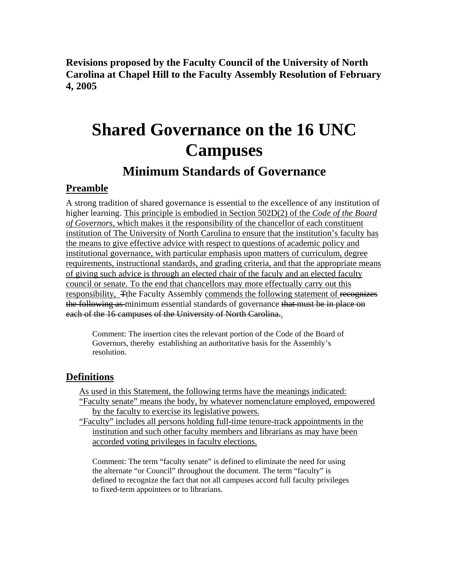**Revisions proposed by the Faculty Council of the University of North Carolina at Chapel Hill to the Faculty Assembly Resolution of February 4, 2005** 

# **Shared Governance on the 16 UNC Campuses**

## **Minimum Standards of Governance**

#### **Preamble**

A strong tradition of shared governance is essential to the excellence of any institution of higher learning. This principle is embodied in Section 502D(2) of the *Code of the Board of Governors*, which makes it the responsibility of the chancellor of each constituent institution of The University of North Carolina to ensure that the institution's faculty has the means to give effective advice with respect to questions of academic policy and institutional governance, with particular emphasis upon matters of curriculum, degree requirements, instructional standards, and grading criteria, and that the appropriate means of giving such advice is through an elected chair of the faculy and an elected faculty council or senate. To the end that chancellors may more effectually carry out this responsibility, The Faculty Assembly commends the following statement of recognizes the following as minimum essential standards of governance that must be in place on each of the 16 campuses of the University of North Carolina..

Comment: The insertion cites the relevant portion of the Code of the Board of Governors, thereby establishing an authoritative basis for the Assembly's resolution.

#### **Definitions**

As used in this Statement, the following terms have the meanings indicated: "Faculty senate" means the body, by whatever nomenclature employed, empowered by the faculty to exercise its legislative powers.

"Faculty" includes all persons holding full-time tenure-track appointments in the institution and such other faculty members and librarians as may have been accorded voting privileges in faculty elections.

Comment: The term "faculty senate" is defined to eliminate the need for using the alternate "or Council" throughout the document. The term "faculty" is defined to recognize the fact that not all campuses accord full faculty privileges to fixed-term appointees or to librarians.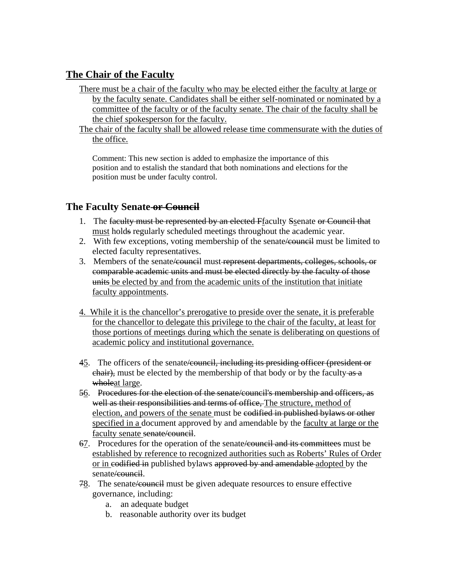#### **The Chair of the Faculty**

- There must be a chair of the faculty who may be elected either the faculty at large or by the faculty senate. Candidates shall be either self-nominated or nominated by a committee of the faculty or of the faculty senate. The chair of the faculty shall be the chief spokesperson for the faculty.
- The chair of the faculty shall be allowed release time commensurate with the duties of the office.

Comment: This new section is added to emphasize the importance of this position and to estalish the standard that both nominations and elections for the position must be under faculty control.

#### **The Faculty Senate or Council**

- 1. The faculty must be represented by an elected Ffaculty Ssenate or Council that must holds regularly scheduled meetings throughout the academic year.
- 2. With few exceptions, voting membership of the senate *e* equilibrary must be limited to elected faculty representatives.
- 3. Members of the senate/council must represent departments, colleges, schools, or comparable academic units and must be elected directly by the faculty of those units be elected by and from the academic units of the institution that initiate faculty appointments.
- 4. While it is the chancellor's prerogative to preside over the senate, it is preferable for the chancellor to delegate this privilege to the chair of the faculty, at least for those portions of meetings during which the senate is deliberating on questions of academic policy and institutional governance.
- 45. The officers of the senate/council, including its presiding officer (president or chair), must be elected by the membership of that body or by the faculty-as a wholeat large.
- 56. Procedures for the election of the senate/council's membership and officers, as well as their responsibilities and terms of office. The structure, method of election, and powers of the senate must be codified in published bylaws or other specified in a document approved by and amendable by the faculty at large or the faculty senate senate/council.
- 67. Procedures for the operation of the senate/council and its committees must be established by reference to recognized authorities such as Roberts' Rules of Order or in codified in published bylaws approved by and amendable adopted by the senate<del>/council</del>.
- 78. The senate/council must be given adequate resources to ensure effective governance, including:
	- a. an adequate budget
	- b. reasonable authority over its budget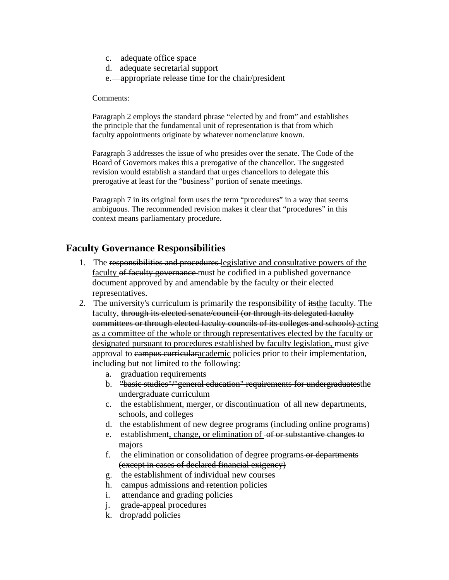- c. adequate office space
- d. adequate secretarial support
- e. appropriate release time for the chair/president

Comments:

Paragraph 2 employs the standard phrase "elected by and from" and establishes the principle that the fundamental unit of representation is that from which faculty appointments originate by whatever nomenclature known.

Paragraph 3 addresses the issue of who presides over the senate. The Code of the Board of Governors makes this a prerogative of the chancellor. The suggested revision would establish a standard that urges chancellors to delegate this prerogative at least for the "business" portion of senate meetings.

Paragraph 7 in its original form uses the term "procedures" in a way that seems ambiguous. The recommended revision makes it clear that "procedures" in this context means parliamentary procedure.

#### **Faculty Governance Responsibilities**

- 1. The responsibilities and procedures legislative and consultative powers of the faculty of faculty governance must be codified in a published governance document approved by and amendable by the faculty or their elected representatives.
- 2. The university's curriculum is primarily the responsibility of itsthe faculty. The faculty, through its elected senate/council (or through its delegated faculty committees or through elected faculty councils of its colleges and schools) acting as a committee of the whole or through representatives elected by the faculty or designated pursuant to procedures established by faculty legislation, must give approval to campus curriculare ademic policies prior to their implementation, including but not limited to the following:
	- a. graduation requirements
	- b. "basic studies"/"general education" requirements for undergraduatesthe undergraduate curriculum
	- c. the establishment, merger, or discontinuation -of all new departments, schools, and colleges
	- d. the establishment of new degree programs (including online programs)
	- e. establishment, change, or elimination of  $-$ of or substantive changes to majors
	- f. the elimination or consolidation of degree programs or departments (except in cases of declared financial exigency)
	- g. the establishment of individual new courses
	- h. campus admissions and retention policies
	- i. attendance and grading policies
	- j. grade-appeal procedures
	- k. drop/add policies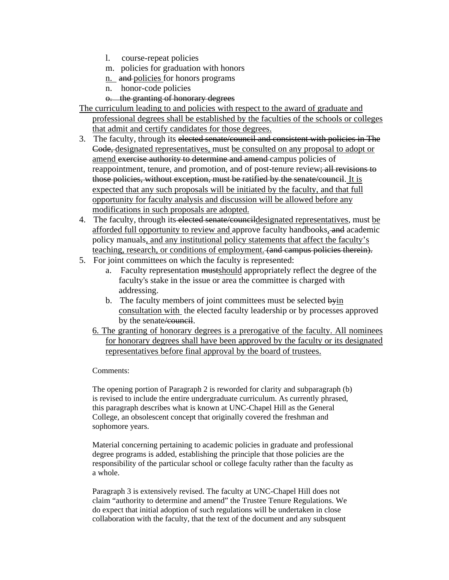- l. course-repeat policies
- m. policies for graduation with honors
- n. and policies for honors programs
- n. honor-code policies
- o. the granting of honorary degrees
- The curriculum leading to and policies with respect to the award of graduate and professional degrees shall be established by the faculties of the schools or colleges that admit and certify candidates for those degrees.
- 3. The faculty, through its elected senate/council and consistent with policies in The Code, designated representatives, must be consulted on any proposal to adopt or amend exercise authority to determine and amend campus policies of reappointment, tenure, and promotion, and of post-tenure review; all revisions to those policies, without exception, must be ratified by the senate/council. It is expected that any such proposals will be initiated by the faculty, and that full opportunity for faculty analysis and discussion will be allowed before any modifications in such proposals are adopted.
- 4. The faculty, through its elected senate/council designated representatives, must be afforded full opportunity to review and approve faculty handbooks, and academic policy manuals, and any institutional policy statements that affect the faculty's teaching, research, or conditions of employment. (and campus policies therein).
- 5. For joint committees on which the faculty is represented:
	- a. Faculty representation mustshould appropriately reflect the degree of the faculty's stake in the issue or area the committee is charged with addressing.
	- b. The faculty members of joint committees must be selected byin consultation with the elected faculty leadership or by processes approved by the senate/council.
	- 6. The granting of honorary degrees is a prerogative of the faculty. All nominees for honorary degrees shall have been approved by the faculty or its designated representatives before final approval by the board of trustees.

#### Comments:

The opening portion of Paragraph 2 is reworded for clarity and subparagraph (b) is revised to include the entire undergraduate curriculum. As currently phrased, this paragraph describes what is known at UNC-Chapel Hill as the General College, an obsolescent concept that originally covered the freshman and sophomore years.

Material concerning pertaining to academic policies in graduate and professional degree programs is added, establishing the principle that those policies are the responsibility of the particular school or college faculty rather than the faculty as a whole.

Paragraph 3 is extensively revised. The faculty at UNC-Chapel Hill does not claim "authority to determine and amend" the Trustee Tenure Regulations. We do expect that initial adoption of such regulations will be undertaken in close collaboration with the faculty, that the text of the document and any subsquent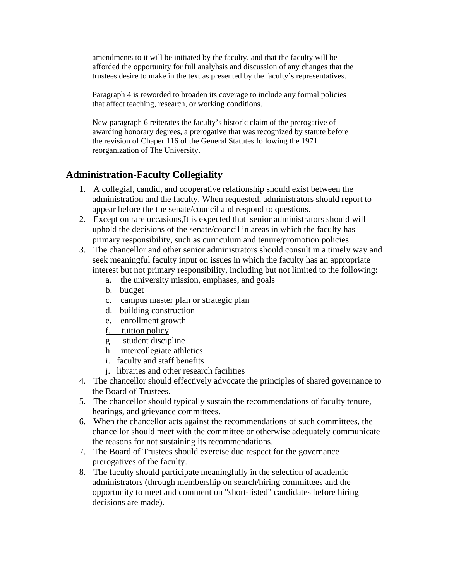amendments to it will be initiated by the faculty, and that the faculty will be afforded the opportunity for full analyhsis and discussion of any changes that the trustees desire to make in the text as presented by the faculty's representatives.

Paragraph 4 is reworded to broaden its coverage to include any formal policies that affect teaching, research, or working conditions.

New paragraph 6 reiterates the faculty's historic claim of the prerogative of awarding honorary degrees, a prerogative that was recognized by statute before the revision of Chaper 116 of the General Statutes following the 1971 reorganization of The University.

#### **Administration-Faculty Collegiality**

- 1. A collegial, candid, and cooperative relationship should exist between the administration and the faculty. When requested, administrators should report to appear before the the senate/council and respond to questions.
- 2. Except on rare occasions, It is expected that senior administrators should will uphold the decisions of the senate <del>/council</del> in areas in which the faculty has primary responsibility, such as curriculum and tenure/promotion policies.
- 3. The chancellor and other senior administrators should consult in a timely way and seek meaningful faculty input on issues in which the faculty has an appropriate interest but not primary responsibility, including but not limited to the following:
	- a. the university mission, emphases, and goals
	- b. budget
	- c. campus master plan or strategic plan
	- d. building construction
	- e. enrollment growth
	- f. tuition policy
	- g. student discipline
	- h. intercollegiate athletics
	- i. faculty and staff benefits
	- j. libraries and other research facilities
- 4. The chancellor should effectively advocate the principles of shared governance to the Board of Trustees.
- 5. The chancellor should typically sustain the recommendations of faculty tenure, hearings, and grievance committees.
- 6. When the chancellor acts against the recommendations of such committees, the chancellor should meet with the committee or otherwise adequately communicate the reasons for not sustaining its recommendations.
- 7. The Board of Trustees should exercise due respect for the governance prerogatives of the faculty.
- 8. The faculty should participate meaningfully in the selection of academic administrators (through membership on search/hiring committees and the opportunity to meet and comment on "short-listed" candidates before hiring decisions are made).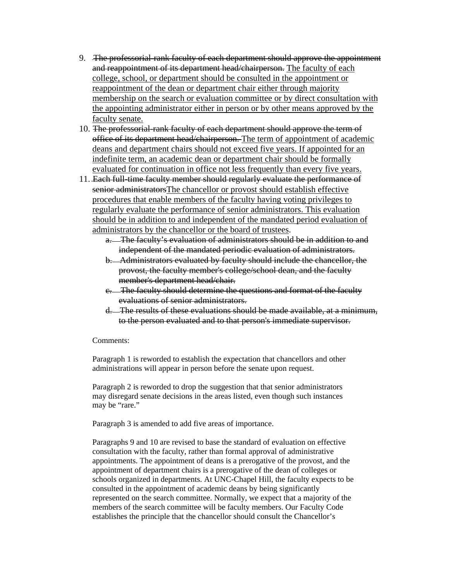- 9. The professorial-rank faculty of each department should approve the appointment and reappointment of its department head/chairperson. The faculty of each college, school, or department should be consulted in the appointment or reappointment of the dean or department chair either through majority membership on the search or evaluation committee or by direct consultation with the appointing administrator either in person or by other means approved by the faculty senate.
- 10. The professorial-rank faculty of each department should approve the term of office of its department head/chairperson. The term of appointment of academic deans and department chairs should not exceed five years. If appointed for an indefinite term, an academic dean or department chair should be formally evaluated for continuation in office not less frequently than every five years.
- 11. Each full-time faculty member should regularly evaluate the performance of senior administratorsThe chancellor or provost should establish effective procedures that enable members of the faculty having voting privileges to regularly evaluate the performance of senior administrators. This evaluation should be in addition to and independent of the mandated period evaluation of administrators by the chancellor or the board of trustees.
	- a. The faculty's evaluation of administrators should be in addition to and independent of the mandated periodic evaluation of administrators.
	- b. Administrators evaluated by faculty should include the chancellor, the provost, the faculty member's college/school dean, and the faculty member's department head/chair.
	- c. The faculty should determine the questions and format of the faculty evaluations of senior administrators.
	- d. The results of these evaluations should be made available, at a minimum, to the person evaluated and to that person's immediate supervisor.

#### Comments:

Paragraph 1 is reworded to establish the expectation that chancellors and other administrations will appear in person before the senate upon request.

Paragraph 2 is reworded to drop the suggestion that that senior administrators may disregard senate decisions in the areas listed, even though such instances may be "rare."

Paragraph 3 is amended to add five areas of importance.

Paragraphs 9 and 10 are revised to base the standard of evaluation on effective consultation with the faculty, rather than formal approval of administrative appointments. The appointment of deans is a prerogative of the provost, and the appointment of department chairs is a prerogative of the dean of colleges or schools organized in departments. At UNC-Chapel Hill, the faculty expects to be consulted in the appointment of academic deans by being significantly represented on the search committee. Normally, we expect that a majority of the members of the search committee will be faculty members. Our Faculty Code establishes the principle that the chancellor should consult the Chancellor's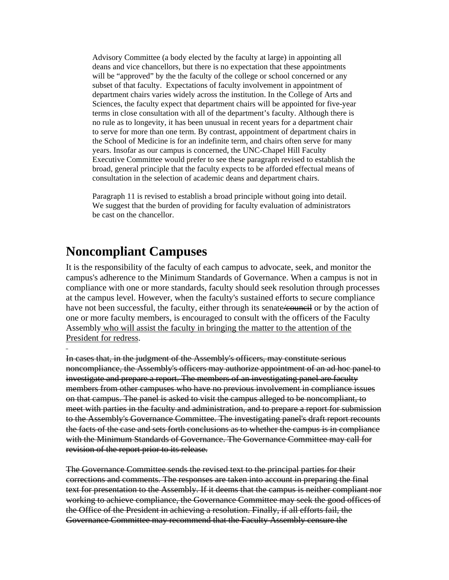Advisory Committee (a body elected by the faculty at large) in appointing all deans and vice chancellors, but there is no expectation that these appointments will be "approved" by the the faculty of the college or school concerned or any subset of that faculty. Expectations of faculty involvement in appointment of department chairs varies widely across the institution. In the College of Arts and Sciences, the faculty expect that department chairs will be appointed for five-year terms in close consultation with all of the department's faculty. Although there is no rule as to longevity, it has been unusual in recent years for a department chair to serve for more than one term. By contrast, appointment of department chairs in the School of Medicine is for an indefinite term, and chairs often serve for many years. Insofar as our campus is concerned, the UNC-Chapel Hill Faculty Executive Committee would prefer to see these paragraph revised to establish the broad, general principle that the faculty expects to be afforded effectual means of consultation in the selection of academic deans and department chairs.

Paragraph 11 is revised to establish a broad principle without going into detail. We suggest that the burden of providing for faculty evaluation of administrators be cast on the chancellor.

### **Noncompliant Campuses**

It is the responsibility of the faculty of each campus to advocate, seek, and monitor the campus's adherence to the Minimum Standards of Governance. When a campus is not in compliance with one or more standards, faculty should seek resolution through processes at the campus level. However, when the faculty's sustained efforts to secure compliance have not been successful, the faculty, either through its senate *k*ouncil or by the action of one or more faculty members, is encouraged to consult with the officers of the Faculty Assembly who will assist the faculty in bringing the matter to the attention of the President for redress.

In cases that, in the judgment of the Assembly's officers, may constitute serious noncompliance, the Assembly's officers may authorize appointment of an ad hoc panel to investigate and prepare a report. The members of an investigating panel are faculty members from other campuses who have no previous involvement in compliance issues on that campus. The panel is asked to visit the campus alleged to be noncompliant, to meet with parties in the faculty and administration, and to prepare a report for submission to the Assembly's Governance Committee. The investigating panel's draft report recounts the facts of the case and sets forth conclusions as to whether the campus is in compliance with the Minimum Standards of Governance. The Governance Committee may call for revision of the report prior to its release.

The Governance Committee sends the revised text to the principal parties for their corrections and comments. The responses are taken into account in preparing the final text for presentation to the Assembly. If it deems that the campus is neither compliant nor working to achieve compliance, the Governance Committee may seek the good offices of the Office of the President in achieving a resolution. Finally, if all efforts fail, the Governance Committee may recommend that the Faculty Assembly censure the